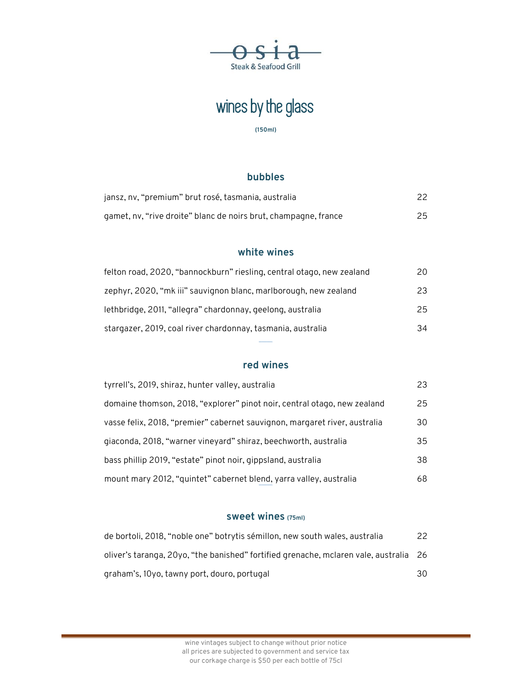

# wines by the glass

**(150ml)** 

#### **bubbles**

| jansz, nv, "premium" brut rosé, tasmania, australia             |  |
|-----------------------------------------------------------------|--|
| gamet, nv, "rive droite" blanc de noirs brut, champagne, france |  |

#### **white wines**

| felton road, 2020, "bannockburn" riesling, central otago, new zealand | 20 |
|-----------------------------------------------------------------------|----|
| zephyr, 2020, "mk iii" sauvignon blanc, marlborough, new zealand      | 23 |
| lethbridge, 2011, "allegra" chardonnay, geelong, australia            | 25 |
| stargazer, 2019, coal river chardonnay, tasmania, australia           | 34 |

#### **red wines**

| tyrrell's, 2019, shiraz, hunter valley, australia                          | 23 |
|----------------------------------------------------------------------------|----|
| domaine thomson, 2018, "explorer" pinot noir, central otago, new zealand   | 25 |
| vasse felix, 2018, "premier" cabernet sauvignon, margaret river, australia | 30 |
| giaconda, 2018, "warner vineyard" shiraz, beechworth, australia            | 35 |
| bass phillip 2019, "estate" pinot noir, gippsland, australia               | 38 |
| mount mary 2012, "quintet" cabernet blend, yarra valley, australia         | 68 |

#### **sweet wines (75ml)**

| de bortoli, 2018, "noble one" botrytis sémillon, new south wales, australia           | 22  |
|---------------------------------------------------------------------------------------|-----|
| oliver's taranga, 20yo, "the banished" fortified grenache, mclaren vale, australia 26 |     |
| graham's, 10yo, tawny port, douro, portugal                                           | 30. |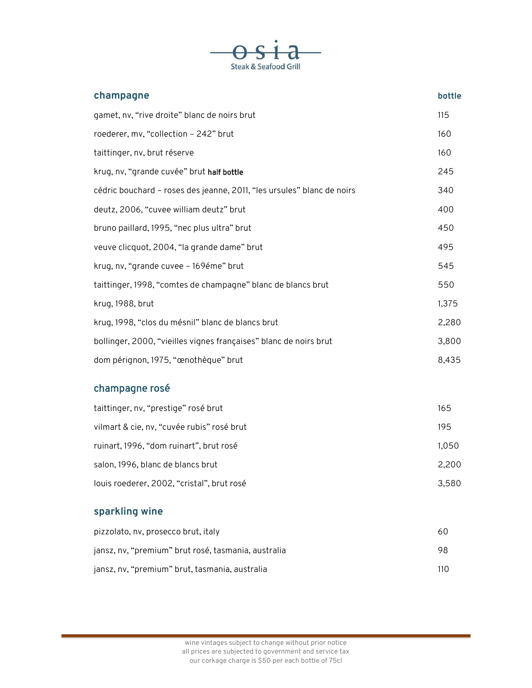

| champagne                                                              | bottle |
|------------------------------------------------------------------------|--------|
| gamet, nv, "rive droite" blanc de noirs brut                           | 115    |
| roederer, mv, "collection - 242" brut                                  | 160    |
| taittinger, nv, brut réserve                                           | 160    |
| krug, nv, "grande cuvée" brut half bottle                              | 245    |
| cédric bouchard - roses des jeanne, 2011, "les ursules" blanc de noirs | 340    |
| deutz, 2006, "cuvee william deutz" brut                                | 400    |
| bruno paillard, 1995, "nec plus ultra" brut                            | 450    |
| veuve clicquot, 2004, "la grande dame" brut                            | 495    |
| krug, nv, "grande cuvee - 169éme" brut                                 | 545    |
| taittinger, 1998, "comtes de champagne" blanc de blancs brut           | 550    |
| krug, 1988, brut                                                       | 1,375  |
| krug, 1998, "clos du mésnil" blanc de blancs brut                      | 2,280  |
| bollinger, 2000, "vieilles vignes françaises" blanc de noirs brut      | 3,800  |
| dom pérignon, 1975, "œnothèque" brut                                   | 8,435  |

## champagne rosé

| taittinger, nv, "prestige" rosé brut       | 165   |
|--------------------------------------------|-------|
| vilmart & cie, nv, "cuvée rubis" rosé brut | 195   |
| ruinart, 1996, "dom ruinart", brut rosé    | 1,050 |
| salon, 1996, blanc de blancs brut          | 2.200 |
| louis roederer, 2002, "cristal", brut rosé | 3.580 |

### **sparkling wine**

| pizzolato, nv, prosecco brut, italy                 | 60  |
|-----------------------------------------------------|-----|
| jansz, nv, "premium" brut rosé, tasmania, australia | 98. |
| jansz, nv, "premium" brut, tasmania, australia      | 110 |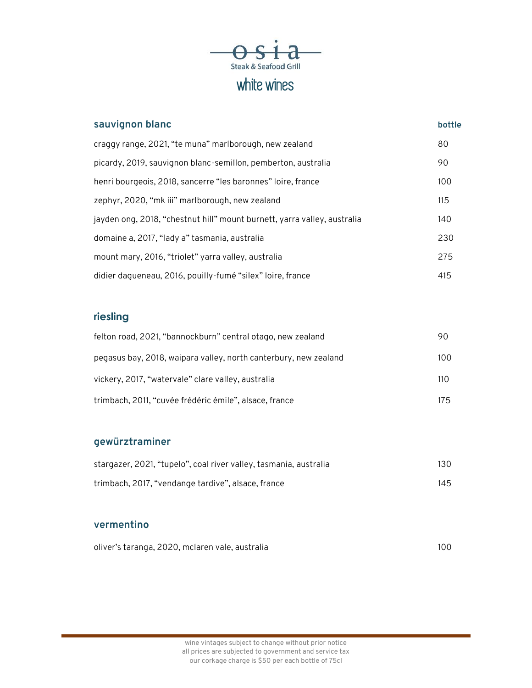

| sauvignon blanc                                                          | bottle |
|--------------------------------------------------------------------------|--------|
| craggy range, 2021, "te muna" marlborough, new zealand                   | 80     |
| picardy, 2019, sauvignon blanc-semillon, pemberton, australia            | 90     |
| henri bourgeois, 2018, sancerre "les baronnes" loire, france             | 100    |
| zephyr, 2020, "mk iii" marlborough, new zealand                          | 115    |
| jayden ong, 2018, "chestnut hill" mount burnett, yarra valley, australia | 140    |
| domaine a, 2017, "lady a" tasmania, australia                            | 230    |
| mount mary, 2016, "triolet" yarra valley, australia                      | 275    |
| didier daqueneau, 2016, pouilly-fumé "silex" loire, france               | 415    |

### **riesling**

| felton road, 2021, "bannockburn" central otago, new zealand      | 90  |
|------------------------------------------------------------------|-----|
| pegasus bay, 2018, waipara valley, north canterbury, new zealand | 100 |
| vickery, 2017, "watervale" clare valley, australia               | 110 |
| trimbach, 2011, "cuvée frédéric émile", alsace, france           | 175 |

### **gewürztraminer**

| stargazer, 2021, "tupelo", coal river valley, tasmania, australia | 130 |
|-------------------------------------------------------------------|-----|
| trimbach, 2017, "vendange tardive", alsace, france                | 145 |

#### **vermentino**

| oliver's taranga, 2020, mclaren vale, australia | 100 |
|-------------------------------------------------|-----|
|                                                 |     |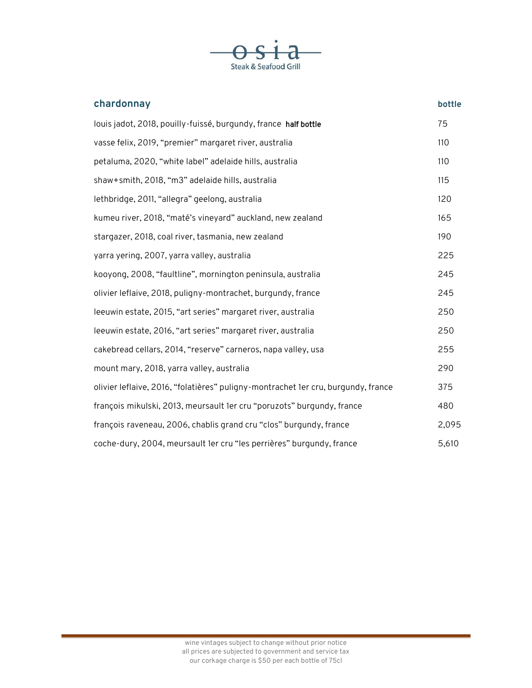

| chardonnay                                                                        | bottle |
|-----------------------------------------------------------------------------------|--------|
| louis jadot, 2018, pouilly-fuissé, burgundy, france half bottle                   | 75     |
| vasse felix, 2019, "premier" margaret river, australia                            | 110    |
| petaluma, 2020, "white label" adelaide hills, australia                           | 110    |
| shaw+smith, 2018, "m3" adelaide hills, australia                                  | 115    |
| lethbridge, 2011, "allegra" geelong, australia                                    | 120    |
| kumeu river, 2018, "maté's vineyard" auckland, new zealand                        | 165    |
| stargazer, 2018, coal river, tasmania, new zealand                                | 190    |
| yarra yering, 2007, yarra valley, australia                                       | 225    |
| kooyong, 2008, "faultline", mornington peninsula, australia                       | 245    |
| olivier leflaive, 2018, puligny-montrachet, burgundy, france                      | 245    |
| leeuwin estate, 2015, "art series" margaret river, australia                      | 250    |
| leeuwin estate, 2016, "art series" margaret river, australia                      | 250    |
| cakebread cellars, 2014, "reserve" carneros, napa valley, usa                     | 255    |
| mount mary, 2018, yarra valley, australia                                         | 290    |
| olivier leflaive, 2016, "folatières" puligny-montrachet 1er cru, burgundy, france | 375    |
| françois mikulski, 2013, meursault 1er cru "poruzots" burgundy, france            | 480    |
| françois raveneau, 2006, chablis grand cru "clos" burgundy, france                | 2,095  |
| coche-dury, 2004, meursault 1er cru "les perrières" burgundy, france              | 5,610  |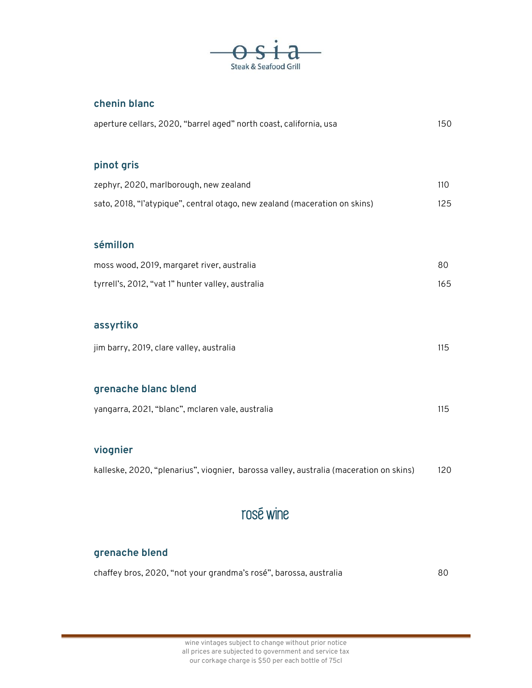

#### **chenin blanc**

| aperture cellars, 2020, "barrel aged" north coast, california, usa                     | 150 |
|----------------------------------------------------------------------------------------|-----|
| pinot gris                                                                             |     |
| zephyr, 2020, marlborough, new zealand                                                 | 110 |
| sato, 2018, "l'atypique", central otago, new zealand (maceration on skins)             | 125 |
|                                                                                        |     |
| sémillon                                                                               |     |
| moss wood, 2019, margaret river, australia                                             | 80  |
| tyrrell's, 2012, "vat 1" hunter valley, australia                                      | 165 |
|                                                                                        |     |
| assyrtiko                                                                              |     |
| jim barry, 2019, clare valley, australia                                               | 115 |
|                                                                                        |     |
| grenache blanc blend                                                                   |     |
| yangarra, 2021, "blanc", mclaren vale, australia                                       | 115 |
|                                                                                        |     |
| viognier                                                                               |     |
| kalleske, 2020, "plenarius", viognier, barossa valley, australia (maceration on skins) | 120 |
|                                                                                        |     |

## rosé wine

#### **grenache blend**

| chaffey bros, 2020, "not your grandma's rosé", barossa, australia | 80 |
|-------------------------------------------------------------------|----|
|-------------------------------------------------------------------|----|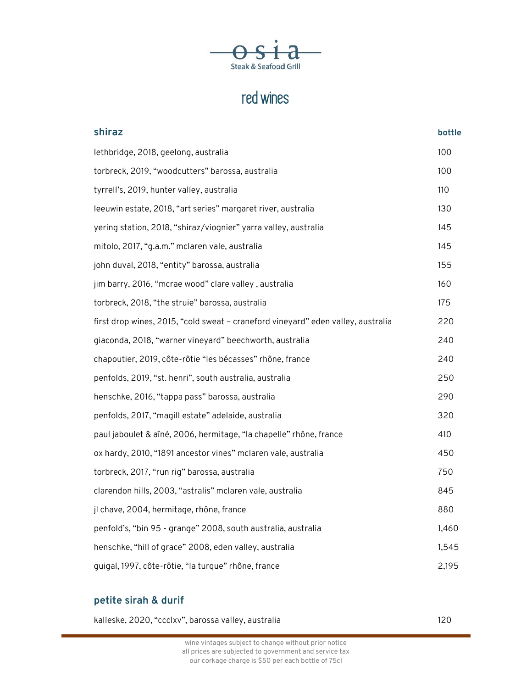

## red wines

| shiraz                                                                           | bottle |
|----------------------------------------------------------------------------------|--------|
| lethbridge, 2018, geelong, australia                                             | 100    |
| torbreck, 2019, "woodcutters" barossa, australia                                 | 100    |
| tyrrell's, 2019, hunter valley, australia                                        | 110    |
| leeuwin estate, 2018, "art series" margaret river, australia                     | 130    |
| yering station, 2018, "shiraz/viognier" yarra valley, australia                  | 145    |
| mitolo, 2017, "g.a.m." mclaren vale, australia                                   | 145    |
| john duval, 2018, "entity" barossa, australia                                    | 155    |
| jim barry, 2016, "mcrae wood" clare valley, australia                            | 160    |
| torbreck, 2018, "the struie" barossa, australia                                  | 175    |
| first drop wines, 2015, "cold sweat - craneford vineyard" eden valley, australia | 220    |
| giaconda, 2018, "warner vineyard" beechworth, australia                          | 240    |
| chapoutier, 2019, côte-rôtie "les bécasses" rhône, france                        | 240    |
| penfolds, 2019, "st. henri", south australia, australia                          | 250    |
| henschke, 2016, "tappa pass" barossa, australia                                  | 290    |
| penfolds, 2017, "magill estate" adelaide, australia                              | 320    |
| paul jaboulet & aîné, 2006, hermitage, "la chapelle" rhône, france               | 410    |
| ox hardy, 2010, "1891 ancestor vines" mclaren vale, australia                    | 450    |
| torbreck, 2017, "run rig" barossa, australia                                     | 750    |
| clarendon hills, 2003, "astralis" mclaren vale, australia                        | 845    |
| jl chave, 2004, hermitage, rhône, france                                         | 880    |
| penfold's, "bin 95 - grange" 2008, south australia, australia                    | 1,460  |
| henschke, "hill of grace" 2008, eden valley, australia                           | 1,545  |
| quigal, 1997, côte-rôtie, "la turque" rhône, france                              | 2,195  |

### **petite sirah & durif**

| kalleske, 2020, "ccclxv", barossa valley, australia | 120 |
|-----------------------------------------------------|-----|
|-----------------------------------------------------|-----|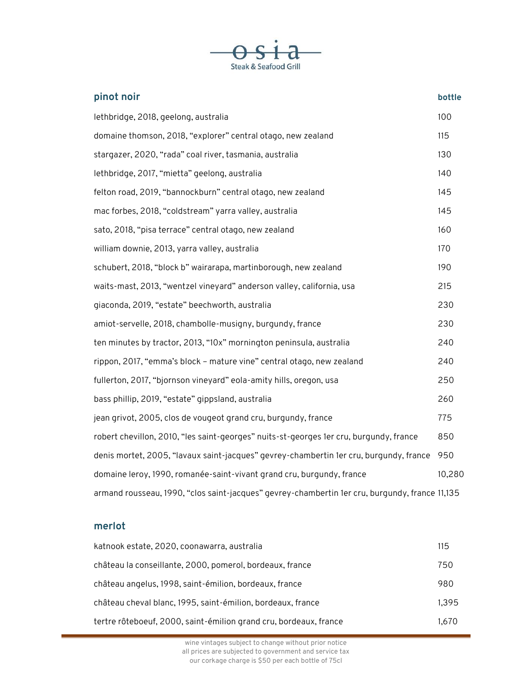

| pinot noir                                                                                     | bottle |
|------------------------------------------------------------------------------------------------|--------|
| lethbridge, 2018, geelong, australia                                                           | 100    |
| domaine thomson, 2018, "explorer" central otago, new zealand                                   | 115    |
| stargazer, 2020, "rada" coal river, tasmania, australia                                        | 130    |
| lethbridge, 2017, "mietta" geelong, australia                                                  | 140    |
| felton road, 2019, "bannockburn" central otago, new zealand                                    | 145    |
| mac forbes, 2018, "coldstream" yarra valley, australia                                         | 145    |
| sato, 2018, "pisa terrace" central otago, new zealand                                          | 160    |
| william downie, 2013, yarra valley, australia                                                  | 170    |
| schubert, 2018, "block b" wairarapa, martinborough, new zealand                                | 190    |
| waits-mast, 2013, "wentzel vineyard" anderson valley, california, usa                          | 215    |
| giaconda, 2019, "estate" beechworth, australia                                                 | 230    |
| amiot-servelle, 2018, chambolle-musigny, burgundy, france                                      | 230    |
| ten minutes by tractor, 2013, "10x" mornington peninsula, australia                            | 240    |
| rippon, 2017, "emma's block - mature vine" central otago, new zealand                          | 240    |
| fullerton, 2017, "bjornson vineyard" eola-amity hills, oregon, usa                             | 250    |
| bass phillip, 2019, "estate" gippsland, australia                                              | 260    |
| jean grivot, 2005, clos de vougeot grand cru, burgundy, france                                 | 775    |
| robert chevillon, 2010, "les saint-georges" nuits-st-georges 1er cru, burgundy, france         | 850    |
| denis mortet, 2005, "lavaux saint-jacques" gevrey-chambertin 1er cru, burgundy, france         | 950    |
| domaine leroy, 1990, romanée-saint-vivant grand cru, burgundy, france                          | 10,280 |
| armand rousseau, 1990, "clos saint-jacques" gevrey-chambertin 1er cru, burgundy, france 11,135 |        |

#### **merlot**

| katnook estate, 2020, coonawarra, australia                       | 115   |
|-------------------------------------------------------------------|-------|
| château la conseillante, 2000, pomerol, bordeaux, france          | 750   |
| château angelus, 1998, saint-émilion, bordeaux, france            | 980   |
| château cheval blanc, 1995, saint-émilion, bordeaux, france       | 1,395 |
| tertre rôteboeuf, 2000, saint-émilion grand cru, bordeaux, france | 1.670 |

wine vintages subject to change without prior notice all prices are subjected to government and service tax our corkage charge is \$50 per each bottle of 75cl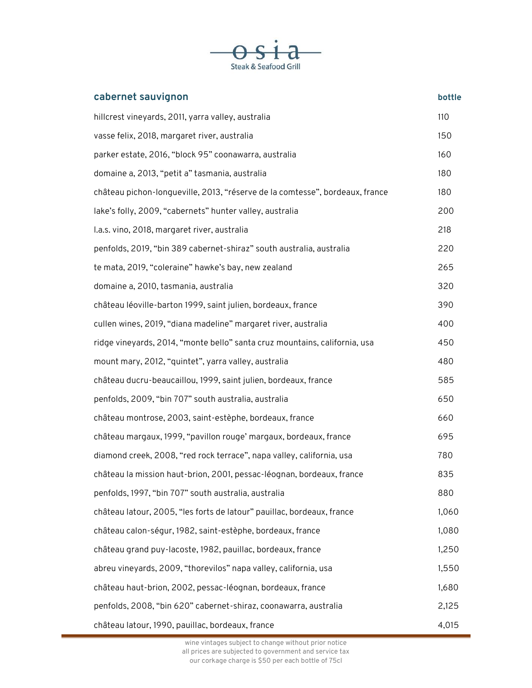

| cabernet sauvignon                                                           | bottle |
|------------------------------------------------------------------------------|--------|
| hillcrest vineyards, 2011, yarra valley, australia                           | 110    |
| vasse felix, 2018, margaret river, australia                                 | 150    |
| parker estate, 2016, "block 95" coonawarra, australia                        | 160    |
| domaine a, 2013, "petit a" tasmania, australia                               | 180    |
| château pichon-longueville, 2013, "réserve de la comtesse", bordeaux, france | 180    |
| lake's folly, 2009, "cabernets" hunter valley, australia                     | 200    |
| I.a.s. vino, 2018, margaret river, australia                                 | 218    |
| penfolds, 2019, "bin 389 cabernet-shiraz" south australia, australia         | 220    |
| te mata, 2019, "coleraine" hawke's bay, new zealand                          | 265    |
| domaine a, 2010, tasmania, australia                                         | 320    |
| château léoville-barton 1999, saint julien, bordeaux, france                 | 390    |
| cullen wines, 2019, "diana madeline" margaret river, australia               | 400    |
| ridge vineyards, 2014, "monte bello" santa cruz mountains, california, usa   | 450    |
| mount mary, 2012, "quintet", yarra valley, australia                         | 480    |
| château ducru-beaucaillou, 1999, saint julien, bordeaux, france              | 585    |
| penfolds, 2009, "bin 707" south australia, australia                         | 650    |
| château montrose, 2003, saint-estèphe, bordeaux, france                      | 660    |
| château margaux, 1999, "pavillon rouge' margaux, bordeaux, france            | 695    |
| diamond creek, 2008, "red rock terrace", napa valley, california, usa        | 780    |
| château la mission haut-brion, 2001, pessac-léognan, bordeaux, france        | 835    |
| penfolds, 1997, "bin 707" south australia, australia                         | 880    |
| château latour, 2005, "les forts de latour" pauillac, bordeaux, france       | 1,060  |
| château calon-ségur, 1982, saint-estèphe, bordeaux, france                   | 1,080  |
| château grand puy-lacoste, 1982, pauillac, bordeaux, france                  | 1,250  |
| abreu vineyards, 2009, "thorevilos" napa valley, california, usa             | 1,550  |
| château haut-brion, 2002, pessac-léognan, bordeaux, france                   | 1,680  |
| penfolds, 2008, "bin 620" cabernet-shiraz, coonawarra, australia             | 2,125  |
| château latour, 1990, pauillac, bordeaux, france                             | 4,015  |

wine vintages subject to change without prior notice all prices are subjected to government and service tax our corkage charge is \$50 per each bottle of 75cl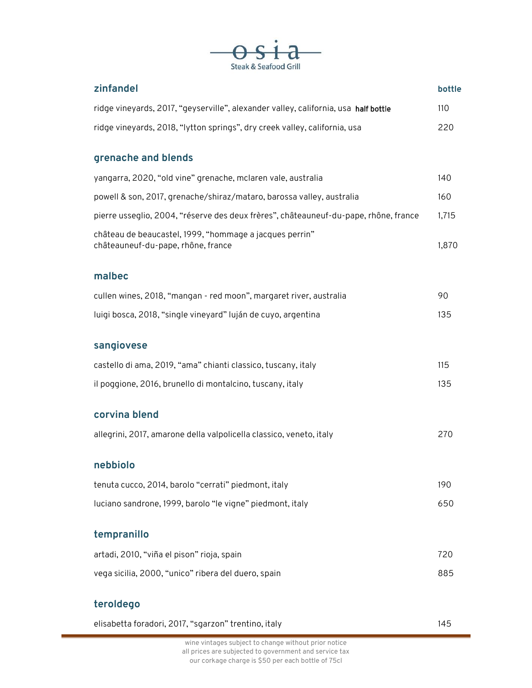

| zinfandel                                                                                     | bottle |
|-----------------------------------------------------------------------------------------------|--------|
| ridge vineyards, 2017, "geyserville", alexander valley, california, usa half bottle           | 110    |
| ridge vineyards, 2018, "lytton springs", dry creek valley, california, usa                    | 220    |
| grenache and blends                                                                           |        |
| yangarra, 2020, "old vine" grenache, mclaren vale, australia                                  | 140    |
| powell & son, 2017, grenache/shiraz/mataro, barossa valley, australia                         | 160    |
| pierre usseglio, 2004, "réserve des deux frères", châteauneuf-du-pape, rhône, france          | 1,715  |
| château de beaucastel, 1999, "hommage a jacques perrin"<br>châteauneuf-du-pape, rhône, france | 1,870  |
| malbec                                                                                        |        |
| cullen wines, 2018, "mangan - red moon", margaret river, australia                            | 90     |
| luigi bosca, 2018, "single vineyard" luján de cuyo, argentina                                 | 135    |
| sangiovese                                                                                    |        |
| castello di ama, 2019, "ama" chianti classico, tuscany, italy                                 | 115    |
| il poggione, 2016, brunello di montalcino, tuscany, italy                                     | 135    |
| corvina blend                                                                                 |        |
| allegrini, 2017, amarone della valpolicella classico, veneto, italy                           | 270    |
| nebbiolo                                                                                      |        |
| tenuta cucco, 2014, barolo "cerrati" piedmont, italy                                          | 190    |
| luciano sandrone, 1999, barolo "le vigne" piedmont, italy                                     | 650    |
| tempranillo                                                                                   |        |
| artadi, 2010, "viña el pison" rioja, spain                                                    | 720    |
| vega sicilia, 2000, "unico" ribera del duero, spain                                           | 885    |
| teroldego                                                                                     |        |

| elisabetta foradori, 2017, "sgarzon" trentino, italy | 145 |
|------------------------------------------------------|-----|
|------------------------------------------------------|-----|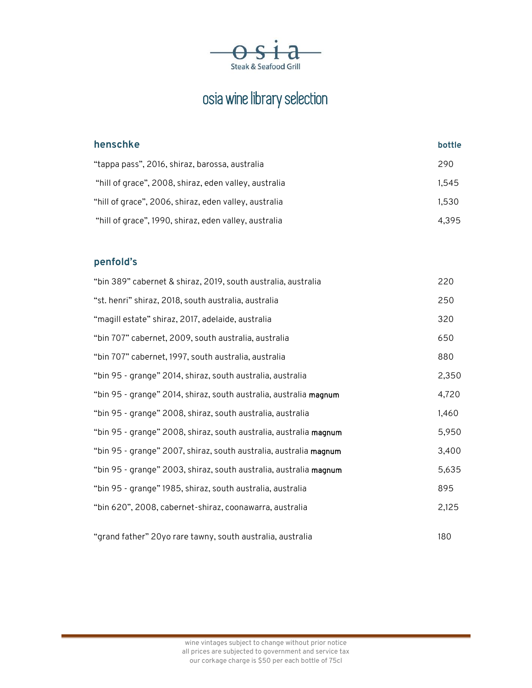

## osia wine library selection

| henschke                                              | bottle |
|-------------------------------------------------------|--------|
| "tappa pass", 2016, shiraz, barossa, australia        | 290    |
| "hill of grace", 2008, shiraz, eden valley, australia | 1.545  |
| "hill of grace", 2006, shiraz, eden valley, australia | 1.530  |
| "hill of grace", 1990, shiraz, eden valley, australia | 4.395  |

#### **penfold's**

| "bin 389" cabernet & shiraz, 2019, south australia, australia     | 220   |
|-------------------------------------------------------------------|-------|
| "st. henri" shiraz, 2018, south australia, australia              | 250   |
| "magill estate" shiraz, 2017, adelaide, australia                 | 320   |
| "bin 707" cabernet, 2009, south australia, australia              | 650   |
| "bin 707" cabernet, 1997, south australia, australia              | 880   |
| "bin 95 - grange" 2014, shiraz, south australia, australia        | 2,350 |
| "bin 95 - grange" 2014, shiraz, south australia, australia magnum | 4,720 |
| "bin 95 - grange" 2008, shiraz, south australia, australia        | 1,460 |
| "bin 95 - grange" 2008, shiraz, south australia, australia magnum | 5,950 |
| "bin 95 - grange" 2007, shiraz, south australia, australia magnum | 3,400 |
| "bin 95 - grange" 2003, shiraz, south australia, australia magnum | 5,635 |
| "bin 95 - grange" 1985, shiraz, south australia, australia        | 895   |
| "bin 620", 2008, cabernet-shiraz, coonawarra, australia           | 2,125 |
|                                                                   |       |
| "grand father" 20yo rare tawny, south australia, australia        | 180   |